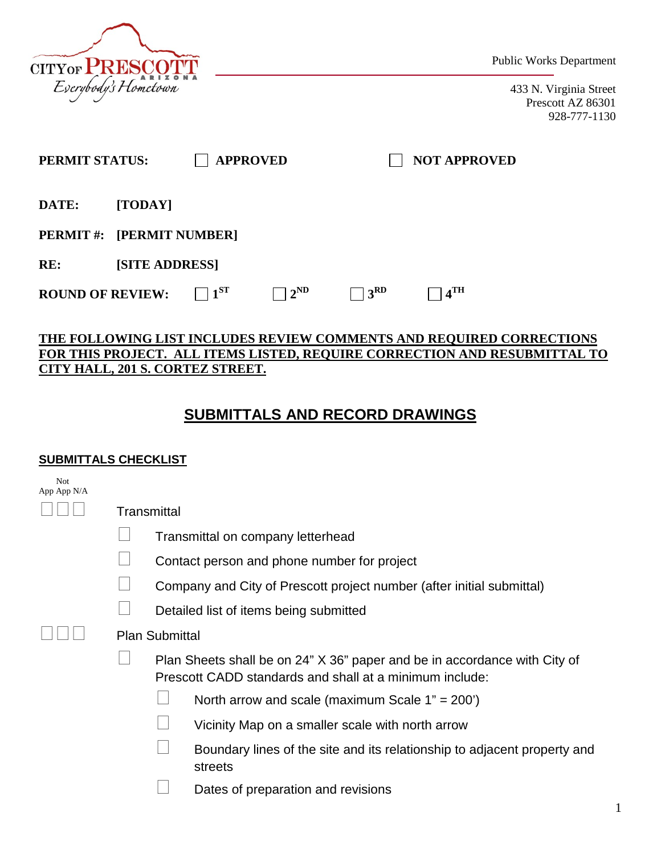

Public Works Department

433 N. Virginia Street Prescott AZ 86301 928-777-1130

| PERMIT STATUS:                   |                       |          | <b>APPROVED</b> |               | <b>NOT APPROVED</b> |  |
|----------------------------------|-----------------------|----------|-----------------|---------------|---------------------|--|
| DATE:                            | [TODAY]               |          |                 |               |                     |  |
| <b>PERMIT #: [PERMIT NUMBER]</b> |                       |          |                 |               |                     |  |
| RE:                              | <b>[SITE ADDRESS]</b> |          |                 |               |                     |  |
| <b>ROUND OF REVIEW:</b>          |                       | $1^{ST}$ | $2^{\rm ND}$    | $+3^{\rm RD}$ | 4 <sup>TH</sup>     |  |

## **THE FOLLOWING LIST INCLUDES REVIEW COMMENTS AND REQUIRED CORRECTIONS FOR THIS PROJECT. ALL ITEMS LISTED, REQUIRE CORRECTION AND RESUBMITTAL TO CITY HALL, 201 S. CORTEZ STREET.**

## **SUBMITTALS AND RECORD DRAWINGS**

## **SUBMITTALS CHECKLIST**

| Not<br>App App N/A |                       |                                                                                                                                      |  |  |  |
|--------------------|-----------------------|--------------------------------------------------------------------------------------------------------------------------------------|--|--|--|
|                    | Transmittal           |                                                                                                                                      |  |  |  |
|                    |                       | Transmittal on company letterhead                                                                                                    |  |  |  |
|                    |                       | Contact person and phone number for project                                                                                          |  |  |  |
|                    |                       | Company and City of Prescott project number (after initial submittal)                                                                |  |  |  |
|                    |                       | Detailed list of items being submitted                                                                                               |  |  |  |
|                    | <b>Plan Submittal</b> |                                                                                                                                      |  |  |  |
|                    |                       | Plan Sheets shall be on 24" X 36" paper and be in accordance with City of<br>Prescott CADD standards and shall at a minimum include: |  |  |  |
|                    |                       | North arrow and scale (maximum Scale $1" = 200'$ )                                                                                   |  |  |  |
|                    |                       | Vicinity Map on a smaller scale with north arrow                                                                                     |  |  |  |
|                    |                       | Boundary lines of the site and its relationship to adjacent property and<br>streets                                                  |  |  |  |
|                    |                       | Dates of preparation and revisions                                                                                                   |  |  |  |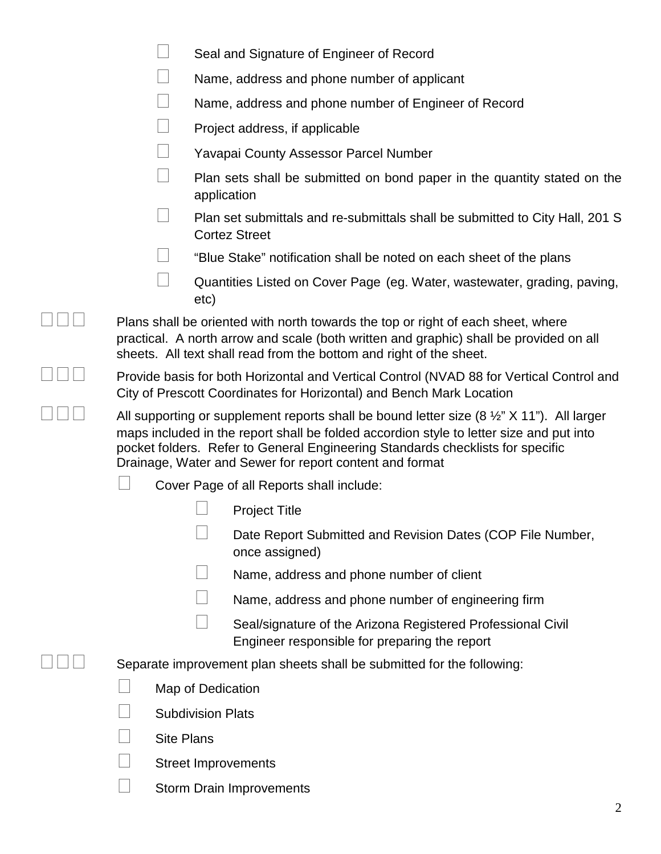|                                                                                                                                                                                                                                                                                                                                                            | Seal and Signature of Engineer of Record                                                                                                                                                                                                          |  |  |  |
|------------------------------------------------------------------------------------------------------------------------------------------------------------------------------------------------------------------------------------------------------------------------------------------------------------------------------------------------------------|---------------------------------------------------------------------------------------------------------------------------------------------------------------------------------------------------------------------------------------------------|--|--|--|
|                                                                                                                                                                                                                                                                                                                                                            | Name, address and phone number of applicant                                                                                                                                                                                                       |  |  |  |
|                                                                                                                                                                                                                                                                                                                                                            | Name, address and phone number of Engineer of Record                                                                                                                                                                                              |  |  |  |
|                                                                                                                                                                                                                                                                                                                                                            | Project address, if applicable                                                                                                                                                                                                                    |  |  |  |
|                                                                                                                                                                                                                                                                                                                                                            | <b>Yavapai County Assessor Parcel Number</b>                                                                                                                                                                                                      |  |  |  |
|                                                                                                                                                                                                                                                                                                                                                            | Plan sets shall be submitted on bond paper in the quantity stated on the<br>application                                                                                                                                                           |  |  |  |
|                                                                                                                                                                                                                                                                                                                                                            | Plan set submittals and re-submittals shall be submitted to City Hall, 201 S<br><b>Cortez Street</b>                                                                                                                                              |  |  |  |
|                                                                                                                                                                                                                                                                                                                                                            | "Blue Stake" notification shall be noted on each sheet of the plans                                                                                                                                                                               |  |  |  |
| etc)                                                                                                                                                                                                                                                                                                                                                       | Quantities Listed on Cover Page (eg. Water, wastewater, grading, paving,                                                                                                                                                                          |  |  |  |
|                                                                                                                                                                                                                                                                                                                                                            | Plans shall be oriented with north towards the top or right of each sheet, where<br>practical. A north arrow and scale (both written and graphic) shall be provided on all<br>sheets. All text shall read from the bottom and right of the sheet. |  |  |  |
| Provide basis for both Horizontal and Vertical Control (NVAD 88 for Vertical Control and<br>City of Prescott Coordinates for Horizontal) and Bench Mark Location                                                                                                                                                                                           |                                                                                                                                                                                                                                                   |  |  |  |
| All supporting or supplement reports shall be bound letter size $(8 \frac{1}{2} \times 11 \text{ m})$ . All larger<br>maps included in the report shall be folded accordion style to letter size and put into<br>pocket folders. Refer to General Engineering Standards checklists for specific<br>Drainage, Water and Sewer for report content and format |                                                                                                                                                                                                                                                   |  |  |  |
|                                                                                                                                                                                                                                                                                                                                                            | Cover Page of all Reports shall include:                                                                                                                                                                                                          |  |  |  |
|                                                                                                                                                                                                                                                                                                                                                            | <b>Project Title</b>                                                                                                                                                                                                                              |  |  |  |
|                                                                                                                                                                                                                                                                                                                                                            | Date Report Submitted and Revision Dates (COP File Number,<br>once assigned)                                                                                                                                                                      |  |  |  |
|                                                                                                                                                                                                                                                                                                                                                            | Name, address and phone number of client                                                                                                                                                                                                          |  |  |  |
|                                                                                                                                                                                                                                                                                                                                                            | Name, address and phone number of engineering firm                                                                                                                                                                                                |  |  |  |
|                                                                                                                                                                                                                                                                                                                                                            | Seal/signature of the Arizona Registered Professional Civil<br>Engineer responsible for preparing the report                                                                                                                                      |  |  |  |
|                                                                                                                                                                                                                                                                                                                                                            | Separate improvement plan sheets shall be submitted for the following:                                                                                                                                                                            |  |  |  |
| Map of Dedication                                                                                                                                                                                                                                                                                                                                          |                                                                                                                                                                                                                                                   |  |  |  |
| <b>Subdivision Plats</b>                                                                                                                                                                                                                                                                                                                                   |                                                                                                                                                                                                                                                   |  |  |  |
| <b>Site Plans</b>                                                                                                                                                                                                                                                                                                                                          |                                                                                                                                                                                                                                                   |  |  |  |
|                                                                                                                                                                                                                                                                                                                                                            | <b>Street Improvements</b>                                                                                                                                                                                                                        |  |  |  |
|                                                                                                                                                                                                                                                                                                                                                            | Storm Drain Improvements                                                                                                                                                                                                                          |  |  |  |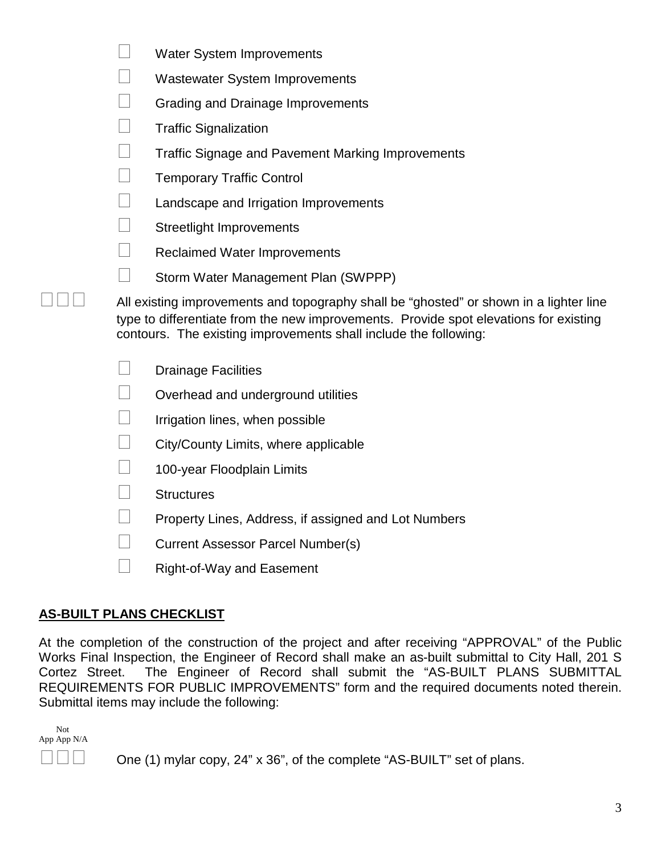| <i>vvater System improvements</i>                                                                                                                                                                                                                   |
|-----------------------------------------------------------------------------------------------------------------------------------------------------------------------------------------------------------------------------------------------------|
| <b>Wastewater System Improvements</b>                                                                                                                                                                                                               |
| Grading and Drainage Improvements                                                                                                                                                                                                                   |
| <b>Traffic Signalization</b>                                                                                                                                                                                                                        |
| <b>Traffic Signage and Pavement Marking Improvements</b>                                                                                                                                                                                            |
| <b>Temporary Traffic Control</b>                                                                                                                                                                                                                    |
| Landscape and Irrigation Improvements                                                                                                                                                                                                               |
| <b>Streetlight Improvements</b>                                                                                                                                                                                                                     |
| <b>Reclaimed Water Improvements</b>                                                                                                                                                                                                                 |
| Storm Water Management Plan (SWPPP)                                                                                                                                                                                                                 |
| All existing improvements and topography shall be "ghosted" or shown in a lighter line<br>type to differentiate from the new improvements. Provide spot elevations for existing<br>contours. The existing improvements shall include the following: |
| <b>Drainage Facilities</b>                                                                                                                                                                                                                          |
| Overhead and underground utilities                                                                                                                                                                                                                  |
| Irrigation lines, when possible                                                                                                                                                                                                                     |
| City/County Limits, where applicable                                                                                                                                                                                                                |
| 100-year Floodplain Limits                                                                                                                                                                                                                          |
| <b>Structures</b>                                                                                                                                                                                                                                   |
| Property Lines, Address, if assigned and Lot Numbers                                                                                                                                                                                                |
| Current Assessor Parcel Number(s)                                                                                                                                                                                                                   |
| <b>Right-of-Way and Easement</b>                                                                                                                                                                                                                    |

 $\Box$  Weter  $\Omega$  stem Improvements

## **AS-BUILT PLANS CHECKLIST**

At the completion of the construction of the project and after receiving "APPROVAL" of the Public Works Final Inspection, the Engineer of Record shall make an as-built submittal to City Hall, 201 S Cortez Street. The Engineer of Record shall submit the "AS-BUILT PLANS SUBMITTAL REQUIREMENTS FOR PUBLIC IMPROVEMENTS" form and the required documents noted therein. Submittal items may include the following:

 Not App App N/A

 $\Box$   $\Box$  One (1) mylar copy, 24" x 36", of the complete "AS-BUILT" set of plans.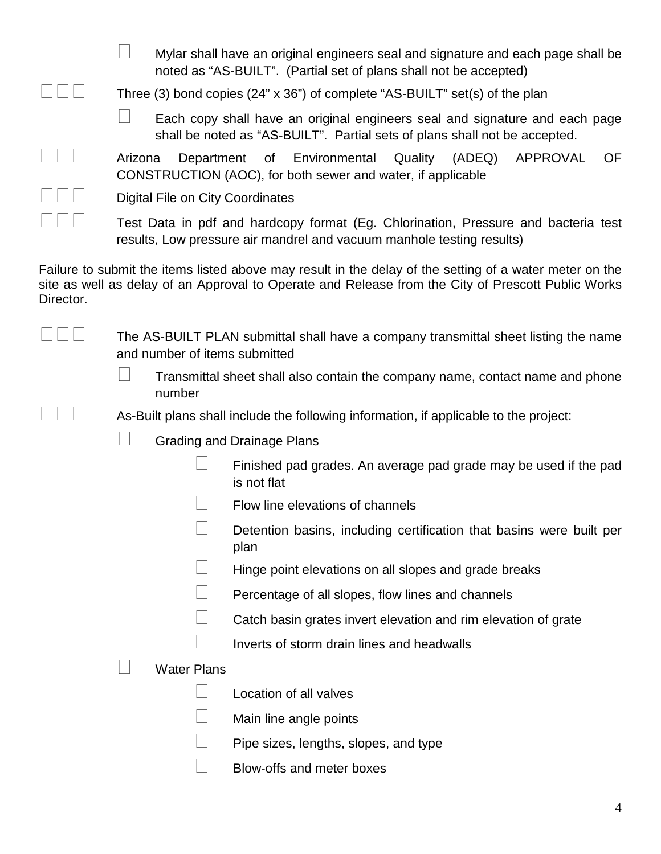|           | Mylar shall have an original engineers seal and signature and each page shall be<br>noted as "AS-BUILT". (Partial set of plans shall not be accepted)                                                         |  |  |  |  |  |
|-----------|---------------------------------------------------------------------------------------------------------------------------------------------------------------------------------------------------------------|--|--|--|--|--|
|           | Three (3) bond copies (24" x 36") of complete "AS-BUILT" set(s) of the plan                                                                                                                                   |  |  |  |  |  |
|           | Each copy shall have an original engineers seal and signature and each page<br>shall be noted as "AS-BUILT". Partial sets of plans shall not be accepted.                                                     |  |  |  |  |  |
|           | <b>APPROVAL</b><br><b>OF</b><br>Environmental<br>Quality<br>(ADEQ)<br>Department<br>of<br>Arizona<br>CONSTRUCTION (AOC), for both sewer and water, if applicable                                              |  |  |  |  |  |
|           | Digital File on City Coordinates                                                                                                                                                                              |  |  |  |  |  |
|           | Test Data in pdf and hardcopy format (Eg. Chlorination, Pressure and bacteria test<br>results, Low pressure air mandrel and vacuum manhole testing results)                                                   |  |  |  |  |  |
| Director. | Failure to submit the items listed above may result in the delay of the setting of a water meter on the<br>site as well as delay of an Approval to Operate and Release from the City of Prescott Public Works |  |  |  |  |  |
|           | The AS-BUILT PLAN submittal shall have a company transmittal sheet listing the name<br>and number of items submitted                                                                                          |  |  |  |  |  |
|           | Transmittal sheet shall also contain the company name, contact name and phone<br>number                                                                                                                       |  |  |  |  |  |
|           | As-Built plans shall include the following information, if applicable to the project:                                                                                                                         |  |  |  |  |  |
|           | <b>Grading and Drainage Plans</b>                                                                                                                                                                             |  |  |  |  |  |
|           | Finished pad grades. An average pad grade may be used if the pad<br>is not flat                                                                                                                               |  |  |  |  |  |
|           | Flow line elevations of channels                                                                                                                                                                              |  |  |  |  |  |
|           | Detention basins, including certification that basins were built per<br>plan                                                                                                                                  |  |  |  |  |  |
|           | Hinge point elevations on all slopes and grade breaks                                                                                                                                                         |  |  |  |  |  |
|           | Percentage of all slopes, flow lines and channels                                                                                                                                                             |  |  |  |  |  |
|           | Catch basin grates invert elevation and rim elevation of grate                                                                                                                                                |  |  |  |  |  |
|           | Inverts of storm drain lines and headwalls                                                                                                                                                                    |  |  |  |  |  |
|           | <b>Water Plans</b>                                                                                                                                                                                            |  |  |  |  |  |
|           |                                                                                                                                                                                                               |  |  |  |  |  |

- $\Box$  Location of all valves
- $\Box$  Main line angle points
- $\Box$  Pipe sizes, lengths, slopes, and type
- **Blow-offs and meter boxes**